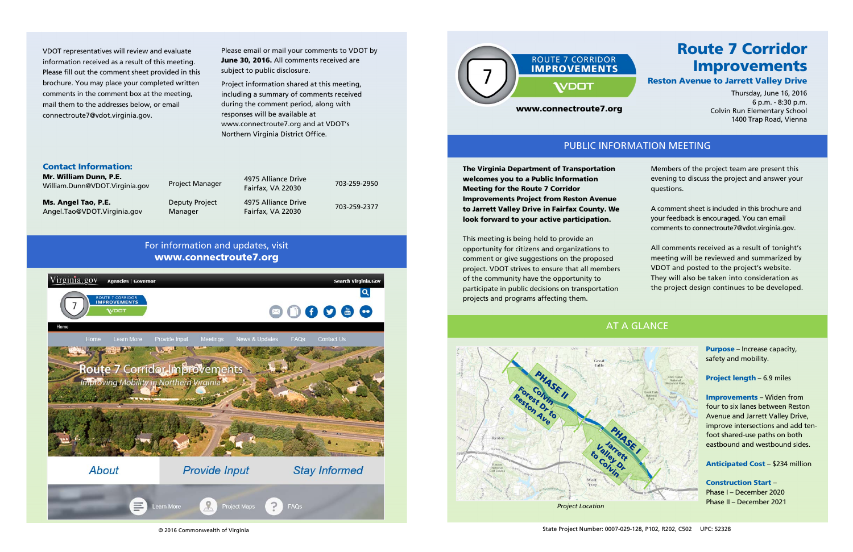© 2016 Commonwealth of Virginia

### Contact Information:

| Mr. William Dunn, P.E.<br>William.Dunn@VDOT.Virginia.gov | <b>Project Manager</b> | 4975 Alliance Drive<br>Fairfax, VA 22030 | 703-259-2950 |
|----------------------------------------------------------|------------------------|------------------------------------------|--------------|
| Ms. Angel Tao, P.E.                                      | Deputy Project         | 4975 Alliance Drive                      | 703-259-2377 |
| Angel.Tao@VDOT.Virginia.gov                              | Manager                | Fairfax, VA 22030                        |              |

Please email or mail your comments to VDOT by June 30, 2016. All comments received are subject to public disclosure.

Project information shared at this meeting, including a summary of comments received during the comment period, along with responses will be available at www.connectroute7.org and at VDOT's Northern Virginia District Office.

VDOT representatives will review and evaluate information received as a result of this meeting. Please fill out the comment sheet provided in this brochure. You may place your completed written comments in the comment box at the meeting, mail them to the addresses below, or email connectroute7@vdot.virginia.gov.

> The Virginia Department of Transportation welcomes you to a Public Information Meeting for the Route 7 Corridor Improvements Project from Reston Avenue to Jarrett Valley Drive in Fairfax County. We look forward to your active participation.

> This meeting is being held to provide an opportunity for citizens and organizations to comment or give suggestions on the proposed project. VDOT strives to ensure that all members of the community have the opportunity to participate in public decisions on transportation projects and programs affecting them.

Members of the project team are present this evening to discuss the project and answer your questions.

A comment sheet is included in this brochure and your feedback is encouraged. You can email comments to connectroute7@vdot.virginia.gov.

All comments received as a result of tonight's meeting will be reviewed and summarized by VDOT and posted to the project's website. They will also be taken into consideration as the project design continues to be developed.

> Purpose – Increase capacity, safety and mobility.

Project length – 6.9 miles

Improvements – Widen from four to six lanes between Reston Avenue and Jarrett Valley Drive, improve intersections and add tenfoot shared-use paths on both eastbound and westbound sides.

Anticipated Cost – \$234 million

Construction Start – Phase I – December 2020 Phase II – December 2021

# Route 7 CorridorImprovements Reston Avenue to Jarrett Valley Drive

Thursday, June 16, 2016 6 p.m. - 8:30 p.m. Colvin Run Elementary School 1400 Trap Road, Vienna



# PUBLIC INFORMATION MEETING

# AT A GLANCE



# For information and updates, visit www.connectroute7.org